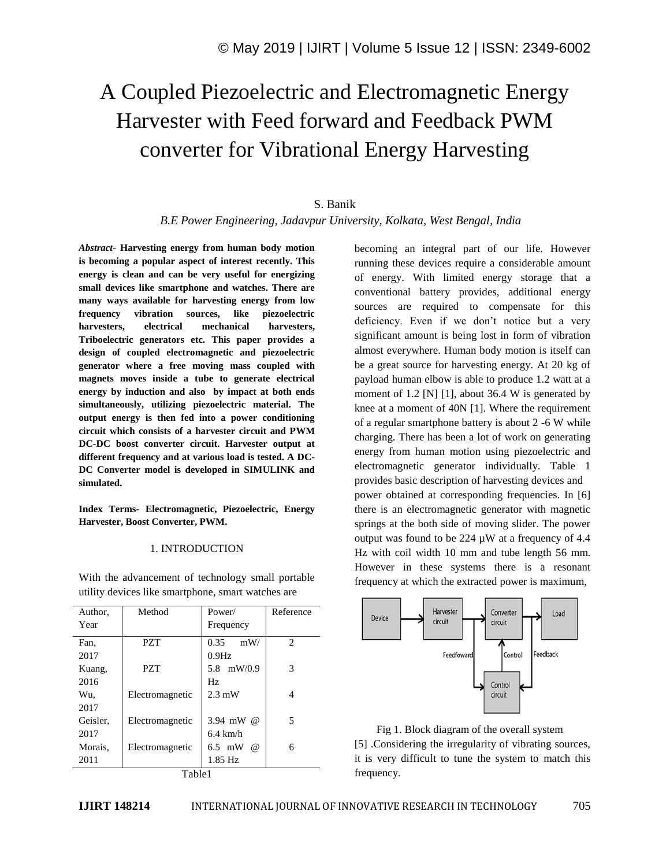# A Coupled Piezoelectric and Electromagnetic Energy Harvester with Feed forward and Feedback PWM converter for Vibrational Energy Harvesting

# S. Banik *B.E Power Engineering, Jadavpur University, Kolkata, West Bengal, India*

*Abstract*- **Harvesting energy from human body motion is becoming a popular aspect of interest recently. This energy is clean and can be very useful for energizing small devices like smartphone and watches. There are many ways available for harvesting energy from low frequency vibration sources, like piezoelectric harvesters, electrical mechanical harvesters, Triboelectric generators etc. This paper provides a design of coupled electromagnetic and piezoelectric generator where a free moving mass coupled with magnets moves inside a tube to generate electrical energy by induction and also by impact at both ends simultaneously, utilizing piezoelectric material. The output energy is then fed into a power conditioning circuit which consists of a harvester circuit and PWM DC-DC boost converter circuit. Harvester output at different frequency and at various load is tested. A DC-DC Converter model is developed in SIMULINK and simulated.**

**Index Terms- Electromagnetic, Piezoelectric, Energy Harvester, Boost Converter, PWM.**

# 1. INTRODUCTION

With the advancement of technology small portable utility devices like smartphone, smart watches are

| Author,    | Method          | Power/             | Reference      |  |
|------------|-----------------|--------------------|----------------|--|
| Year       |                 | Frequency          |                |  |
| Fan.       | <b>PZT</b>      | 0.35<br>mW/        | $\overline{c}$ |  |
| 2017       |                 | $0.9$ Hz           |                |  |
| Kuang,     | <b>PZT</b>      | 5.8 mW/0.9         | 3              |  |
| 2016       |                 | Hz.                |                |  |
| Wu.        | Electromagnetic | $2.3 \text{ mW}$   | 4              |  |
| 2017       |                 |                    |                |  |
| Geisler.   | Electromagnetic | 3.94 mW $\omega$   | 5              |  |
| 2017       |                 | $6.4 \text{ km/h}$ |                |  |
| Morais.    | Electromagnetic | $6.5$ mW<br>@)     | 6              |  |
| 2011       |                 | 1.85 Hz            |                |  |
| $T_0h1_01$ |                 |                    |                |  |

Table1

becoming an integral part of our life. However running these devices require a considerable amount of energy. With limited energy storage that a conventional battery provides, additional energy sources are required to compensate for this deficiency. Even if we don't notice but a very significant amount is being lost in form of vibration almost everywhere. Human body motion is itself can be a great source for harvesting energy. At 20 kg of payload human elbow is able to produce 1.2 watt at a moment of 1.2 [N] [1], about 36.4 W is generated by knee at a moment of 40N [1]. Where the requirement of a regular smartphone battery is about 2 -6 W while charging. There has been a lot of work on generating energy from human motion using piezoelectric and electromagnetic generator individually. Table 1 provides basic description of harvesting devices and power obtained at corresponding frequencies. In [6] there is an electromagnetic generator with magnetic springs at the both side of moving slider. The power output was found to be 224 µW at a frequency of 4.4 Hz with coil width 10 mm and tube length 56 mm. However in these systems there is a resonant frequency at which the extracted power is maximum,



 Fig 1. Block diagram of the overall system [5] .Considering the irregularity of vibrating sources, it is very difficult to tune the system to match this frequency.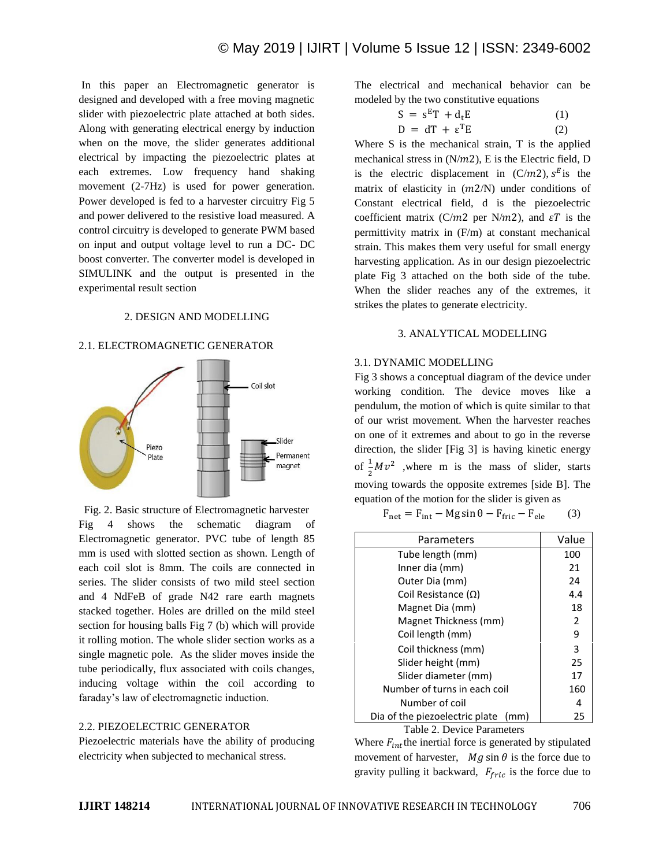In this paper an Electromagnetic generator is designed and developed with a free moving magnetic slider with piezoelectric plate attached at both sides. Along with generating electrical energy by induction when on the move, the slider generates additional electrical by impacting the piezoelectric plates at each extremes. Low frequency hand shaking movement (2-7Hz) is used for power generation. Power developed is fed to a harvester circuitry Fig 5 and power delivered to the resistive load measured. A control circuitry is developed to generate PWM based on input and output voltage level to run a DC- DC boost converter. The converter model is developed in SIMULINK and the output is presented in the experimental result section

#### 2. DESIGN AND MODELLING

#### 2.1. ELECTROMAGNETIC GENERATOR



Fig. 2. Basic structure of Electromagnetic harvester Fig 4 shows the schematic diagram of Electromagnetic generator. PVC tube of length 85 mm is used with slotted section as shown. Length of each coil slot is 8mm. The coils are connected in series. The slider consists of two mild steel section and 4 NdFeB of grade N42 rare earth magnets stacked together. Holes are drilled on the mild steel section for housing balls Fig 7 (b) which will provide it rolling motion. The whole slider section works as a single magnetic pole. As the slider moves inside the tube periodically, flux associated with coils changes, inducing voltage within the coil according to faraday's law of electromagnetic induction.

#### 2.2. PIEZOELECTRIC GENERATOR

Piezoelectric materials have the ability of producing electricity when subjected to mechanical stress.

The electrical and mechanical behavior can be modeled by the two constitutive equations

$$
S = sET + dtE
$$
 (1)  

$$
D = dT + \varepsilonTE
$$
 (2)

Where S is the mechanical strain, T is the applied mechanical stress in  $(N/m2)$ , E is the Electric field, D is the electric displacement in  $(C/m2)$ ,  $s<sup>E</sup>$  is the matrix of elasticity in  $(m2/N)$  under conditions of Constant electrical field, d is the piezoelectric coefficient matrix (C/m2 per N/m2), and  $\epsilon T$  is the permittivity matrix in (F/m) at constant mechanical strain. This makes them very useful for small energy harvesting application. As in our design piezoelectric plate Fig 3 attached on the both side of the tube. When the slider reaches any of the extremes, it strikes the plates to generate electricity.

#### 3. ANALYTICAL MODELLING

## 3.1. DYNAMIC MODELLING

Fig 3 shows a conceptual diagram of the device under working condition. The device moves like a pendulum, the motion of which is quite similar to that of our wrist movement. When the harvester reaches on one of it extremes and about to go in the reverse direction, the slider [Fig 3] is having kinetic energy of  $\frac{1}{2}Mv^2$  , where m is the mass of slider, starts moving towards the opposite extremes [side B]. The equation of the motion for the slider is given as

 $F_{\text{net}} = F_{\text{int}} - Mg \sin \theta - F_{\text{fric}} - F_{\text{ele}}$  (3)

| Parameters                             | Value |
|----------------------------------------|-------|
| Tube length (mm)                       | 100   |
| Inner dia (mm)                         | 21    |
| Outer Dia (mm)                         | 24    |
| Coil Resistance $(\Omega)$             | 4.4   |
| Magnet Dia (mm)                        | 18    |
| Magnet Thickness (mm)                  | 2     |
| Coil length (mm)                       | 9     |
| Coil thickness (mm)                    | 3     |
| Slider height (mm)                     | 25    |
| Slider diameter (mm)                   | 17    |
| Number of turns in each coil           | 160   |
| Number of coil                         | 4     |
| Dia of the piezoelectric plate<br>(mm) | 25    |

Table 2. Device Parameters

Where  $F_{int}$  the inertial force is generated by stipulated movement of harvester,  $Mg \sin \theta$  is the force due to gravity pulling it backward,  $F_{fric}$  is the force due to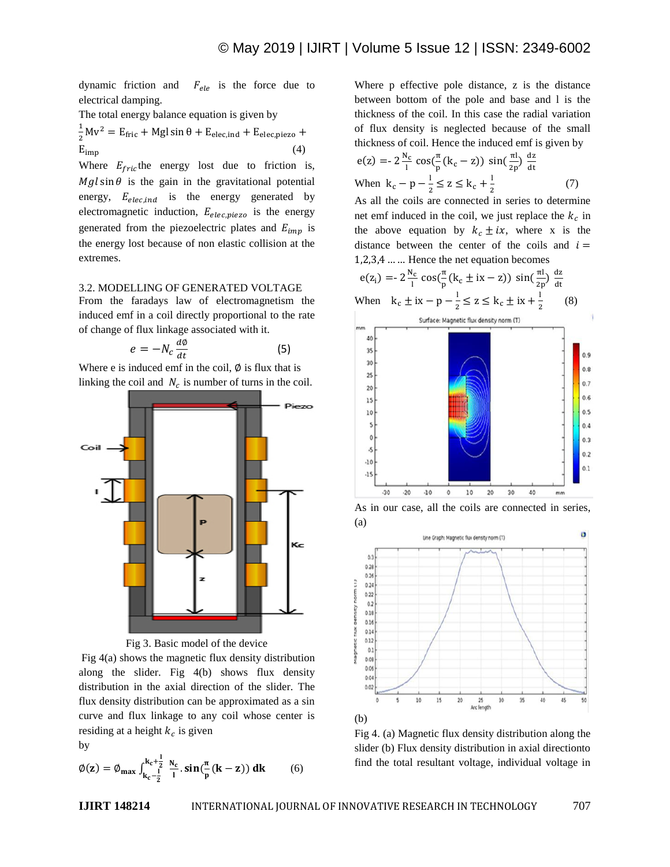dynamic friction and  $F_{ele}$  is the force due to electrical damping.

The total energy balance equation is given by

$$
\frac{1}{2}Mv^2 = E_{\text{fric}} + Mgl \sin \theta + E_{\text{elec,ind}} + E_{\text{elec,piezo}} +
$$
  

$$
E_{\text{imp}} \tag{4}
$$

Where  $E_{fric}$  the energy lost due to friction is,  $Mgl\sin\theta$  is the gain in the gravitational potential energy,  $E_{elec,ind}$  is the energy generated by electromagnetic induction,  $E_{elec,piezo}$  is the energy generated from the piezoelectric plates and  $E_{imp}$  is the energy lost because of non elastic collision at the extremes.

#### 3.2. MODELLING OF GENERATED VOLTAGE

From the faradays law of electromagnetism the induced emf in a coil directly proportional to the rate of change of flux linkage associated with it.

$$
e = -N_c \frac{d\phi}{dt} \tag{5}
$$

Where e is induced emf in the coil,  $\emptyset$  is flux that is linking the coil and  $N_c$  is number of turns in the coil.





Fig 4(a) shows the magnetic flux density distribution along the slider. Fig 4(b) shows flux density distribution in the axial direction of the slider. The flux density distribution can be approximated as a sin curve and flux linkage to any coil whose center is residing at a height  $k_c$  is given by

$$
\textstyle \emptyset(z) = \emptyset_{max} \int_{k_c - \tfrac{1}{2}}^{k_c + \tfrac{1}{2}} \tfrac{N_c}{l} . sin(\tfrac{\pi}{p}(k-z)) \, dk \qquad (6)
$$

Where p effective pole distance, z is the distance between bottom of the pole and base and l is the thickness of the coil. In this case the radial variation of flux density is neglected because of the small thickness of coil. Hence the induced emf is given by

$$
e(z) = -2\frac{N_c}{l}\cos(\frac{\pi}{p}(k_c - z))\sin(\frac{\pi l}{2p})\frac{dz}{dt}
$$
  
When  $k_c - p - \frac{l}{2} \le z \le k_c + \frac{l}{2}$  (7)  
As all the coils are connected in series to determine

As all the coils are connected in series to determine net emf induced in the coil, we just replace the  $k_c$  in the above equation by  $k_c \pm ix$ , where x is the distance between the center of the coils and  $i =$  $1,2,3,4, \ldots$  Hence the net equation becomes

$$
e(z_i) = -2\frac{N_c}{l}\cos(\frac{\pi}{p}(k_c \pm ix - z))\sin(\frac{\pi l}{2p})\frac{dz}{dt}
$$
  
When  $k_c \pm ix - p - \frac{l}{2} \le z \le k_c \pm ix + \frac{l}{2}$  (8)



As in our case, all the coils are connected in series, (a)



Fig 4. (a) Magnetic flux density distribution along the slider (b) Flux density distribution in axial directionto find the total resultant voltage, individual voltage in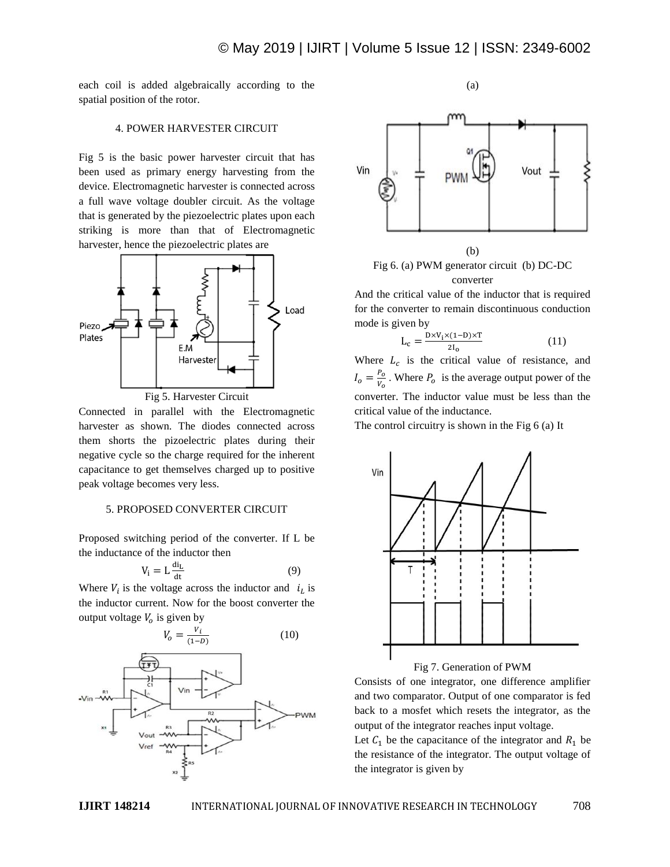each coil is added algebraically according to the spatial position of the rotor.

## 4. POWER HARVESTER CIRCUIT

Fig 5 is the basic power harvester circuit that has been used as primary energy harvesting from the device. Electromagnetic harvester is connected across a full wave voltage doubler circuit. As the voltage that is generated by the piezoelectric plates upon each striking is more than that of Electromagnetic harvester, hence the piezoelectric plates are



Fig 5. Harvester Circuit

Connected in parallel with the Electromagnetic harvester as shown. The diodes connected across them shorts the pizoelectric plates during their negative cycle so the charge required for the inherent capacitance to get themselves charged up to positive peak voltage becomes very less.

## 5. PROPOSED CONVERTER CIRCUIT

Proposed switching period of the converter. If L be the inductance of the inductor then

$$
V_i = L \frac{di_L}{dt}
$$
 (9)

Where  $V_i$  is the voltage across the inductor and  $i_l$  is the inductor current. Now for the boost converter the output voltage  $V_0$  is given by



(a)



Fig 6. (a) PWM generator circuit (b) DC-DC converter

And the critical value of the inductor that is required for the converter to remain discontinuous conduction mode is given by

$$
L_c = \frac{D \times V_i \times (1 - D) \times T}{2I_0} \tag{11}
$$

Where  $L_c$  is the critical value of resistance, and  $I_o = \frac{P}{P}$  $\frac{r_o}{v_o}$ . Where  $P_o$  is the average output power of the converter. The inductor value must be less than the critical value of the inductance.

The control circuitry is shown in the Fig 6 (a) It



# Fig 7. Generation of PWM

Consists of one integrator, one difference amplifier and two comparator. Output of one comparator is fed back to a mosfet which resets the integrator, as the output of the integrator reaches input voltage.

Let  $C_1$  be the capacitance of the integrator and  $R_1$  be the resistance of the integrator. The output voltage of the integrator is given by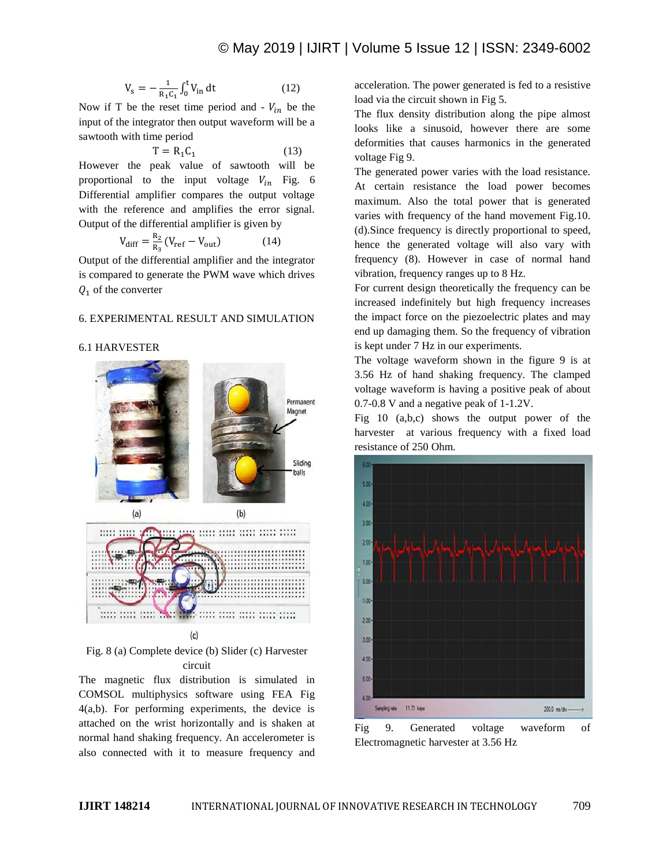$$
V_s = -\frac{1}{R_1 C_1} \int_0^t V_{in} dt
$$
 (12)

Now if T be the reset time period and -  $V_{in}$  be the input of the integrator then output waveform will be a sawtooth with time period

$$
T = R_1 C_1 \tag{13}
$$

However the peak value of sawtooth will be proportional to the input voltage  $V_{in}$  Fig. 6 Differential amplifier compares the output voltage with the reference and amplifies the error signal. Output of the differential amplifier is given by

$$
V_{\text{diff}} = \frac{R_2}{R_3} (V_{\text{ref}} - V_{\text{out}}) \tag{14}
$$

Output of the differential amplifier and the integrator is compared to generate the PWM wave which drives  $Q_1$  of the converter

# 6. EXPERIMENTAL RESULT AND SIMULATION

#### 6.1 HARVESTER



Fig. 8 (a) Complete device (b) Slider (c) Harvester circuit

The magnetic flux distribution is simulated in COMSOL multiphysics software using FEA Fig 4(a,b). For performing experiments, the device is attached on the wrist horizontally and is shaken at normal hand shaking frequency. An accelerometer is also connected with it to measure frequency and acceleration. The power generated is fed to a resistive load via the circuit shown in Fig 5.

The flux density distribution along the pipe almost looks like a sinusoid, however there are some deformities that causes harmonics in the generated voltage Fig 9.

The generated power varies with the load resistance. At certain resistance the load power becomes maximum. Also the total power that is generated varies with frequency of the hand movement Fig.10. (d).Since frequency is directly proportional to speed, hence the generated voltage will also vary with frequency (8). However in case of normal hand vibration, frequency ranges up to 8 Hz.

For current design theoretically the frequency can be increased indefinitely but high frequency increases the impact force on the piezoelectric plates and may end up damaging them. So the frequency of vibration is kept under 7 Hz in our experiments.

The voltage waveform shown in the figure 9 is at 3.56 Hz of hand shaking frequency. The clamped voltage waveform is having a positive peak of about 0.7-0.8 V and a negative peak of 1-1.2V.

Fig 10 (a,b,c) shows the output power of the harvester at various frequency with a fixed load resistance of 250 Ohm.



Fig 9. Generated voltage waveform of Electromagnetic harvester at 3.56 Hz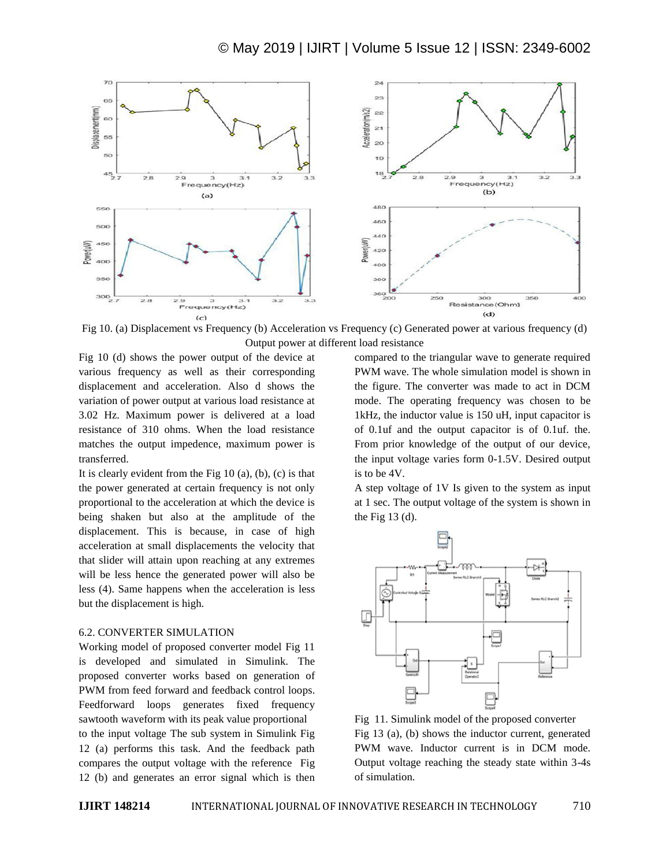

Fig 10. (a) Displacement vs Frequency (b) Acceleration vs Frequency (c) Generated power at various frequency (d) Output power at different load resistance

Fig 10 (d) shows the power output of the device at various frequency as well as their corresponding displacement and acceleration. Also d shows the variation of power output at various load resistance at 3.02 Hz. Maximum power is delivered at a load resistance of 310 ohms. When the load resistance matches the output impedence, maximum power is transferred.

It is clearly evident from the Fig  $10(a)$ ,  $(b)$ ,  $(c)$  is that the power generated at certain frequency is not only proportional to the acceleration at which the device is being shaken but also at the amplitude of the displacement. This is because, in case of high acceleration at small displacements the velocity that that slider will attain upon reaching at any extremes will be less hence the generated power will also be less (4). Same happens when the acceleration is less but the displacement is high.

#### 6.2. CONVERTER SIMULATION

Working model of proposed converter model Fig 11 is developed and simulated in Simulink. The proposed converter works based on generation of PWM from feed forward and feedback control loops. Feedforward loops generates fixed frequency sawtooth waveform with its peak value proportional to the input voltage The sub system in Simulink Fig 12 (a) performs this task. And the feedback path compares the output voltage with the reference Fig 12 (b) and generates an error signal which is then compared to the triangular wave to generate required PWM wave. The whole simulation model is shown in the figure. The converter was made to act in DCM mode. The operating frequency was chosen to be 1kHz, the inductor value is 150 uH, input capacitor is of 0.1uf and the output capacitor is of 0.1uf. the. From prior knowledge of the output of our device, the input voltage varies form 0-1.5V. Desired output is to be 4V.

A step voltage of 1V Is given to the system as input at 1 sec. The output voltage of the system is shown in the Fig  $13$  (d).



Fig 11. Simulink model of the proposed converter Fig 13 (a), (b) shows the inductor current, generated PWM wave. Inductor current is in DCM mode. Output voltage reaching the steady state within 3-4s of simulation.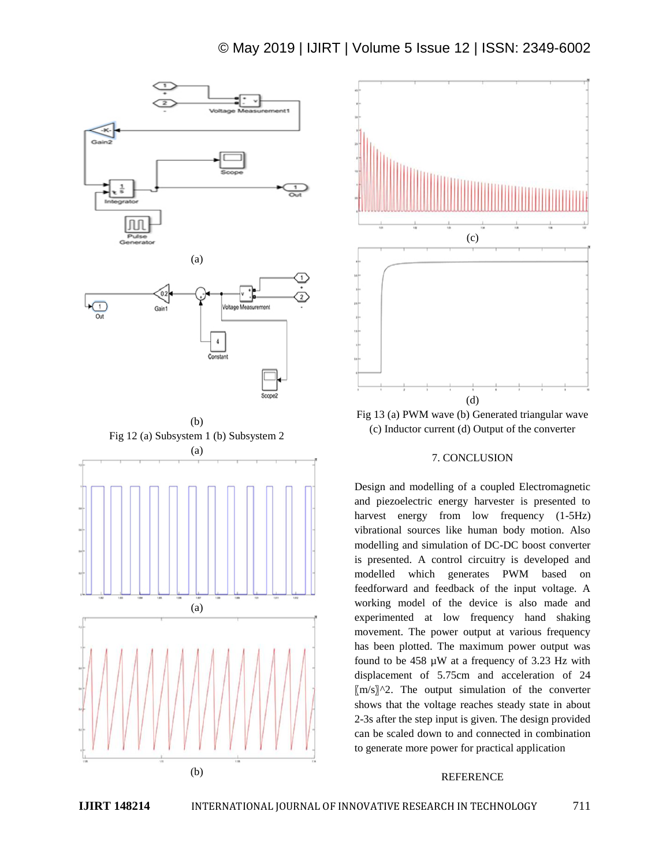# © May 2019 | IJIRT | Volume 5 Issue 12 | ISSN: 2349-6002



(b)



Fig 13 (a) PWM wave (b) Generated triangular wave (c) Inductor current (d) Output of the converter

# 7. CONCLUSION

Design and modelling of a coupled Electromagnetic and piezoelectric energy harvester is presented to harvest energy from low frequency  $(1-5Hz)$ vibrational sources like human body motion. Also modelling and simulation of DC-DC boost converter is presented. A control circuitry is developed and modelled which generates PWM based on feedforward and feedback of the input voltage. A working model of the device is also made and experimented at low frequency hand shaking movement. The power output at various frequency has been plotted. The maximum power output was found to be 458 µW at a frequency of 3.23 Hz with displacement of 5.75cm and acceleration of 24  $[m/s]$ <sup> $\wedge$ 2. The output simulation of the converter</sup> shows that the voltage reaches steady state in about 2-3s after the step input is given. The design provided can be scaled down to and connected in combination to generate more power for practical application

#### REFERENCE

## **IJIRT 148214** INTERNATIONAL JOURNAL OF INNOVATIVE RESEARCH IN TECHNOLOGY 711